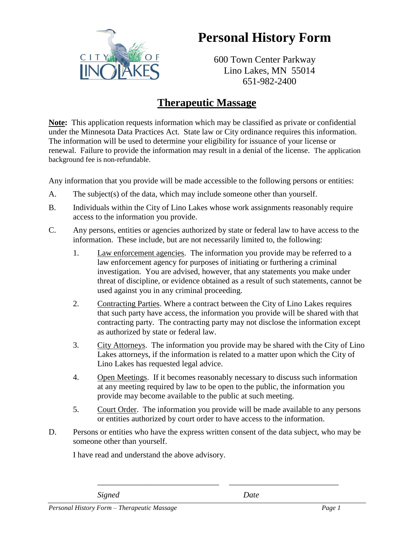

## **Personal History Form**

600 Town Center Parkway Lino Lakes, MN 55014 651-982-2400

## **Therapeutic Massage**

**Note:** This application requests information which may be classified as private or confidential under the Minnesota Data Practices Act. State law or City ordinance requires this information. The information will be used to determine your eligibility for issuance of your license or renewal. Failure to provide the information may result in a denial of the license. The application background fee is non-refundable.

Any information that you provide will be made accessible to the following persons or entities:

- A. The subject(s) of the data, which may include someone other than yourself.
- B. Individuals within the City of Lino Lakes whose work assignments reasonably require access to the information you provide.
- C. Any persons, entities or agencies authorized by state or federal law to have access to the information. These include, but are not necessarily limited to, the following:
	- 1. Law enforcement agencies. The information you provide may be referred to a law enforcement agency for purposes of initiating or furthering a criminal investigation. You are advised, however, that any statements you make under threat of discipline, or evidence obtained as a result of such statements, cannot be used against you in any criminal proceeding.
	- 2. Contracting Parties. Where a contract between the City of Lino Lakes requires that such party have access, the information you provide will be shared with that contracting party. The contracting party may not disclose the information except as authorized by state or federal law.
	- 3. City Attorneys. The information you provide may be shared with the City of Lino Lakes attorneys, if the information is related to a matter upon which the City of Lino Lakes has requested legal advice.
	- 4. Open Meetings. If it becomes reasonably necessary to discuss such information at any meeting required by law to be open to the public, the information you provide may become available to the public at such meeting.
	- 5. Court Order. The information you provide will be made available to any persons or entities authorized by court order to have access to the information.

\_\_\_\_\_\_\_\_\_\_\_\_\_\_\_\_\_\_\_\_\_\_\_\_\_\_\_\_\_\_ \_\_\_\_\_\_\_\_\_\_\_\_\_\_\_\_\_\_\_\_\_\_\_\_\_\_\_

D. Persons or entities who have the express written consent of the data subject, who may be someone other than yourself.

I have read and understand the above advisory.

*Signed Date*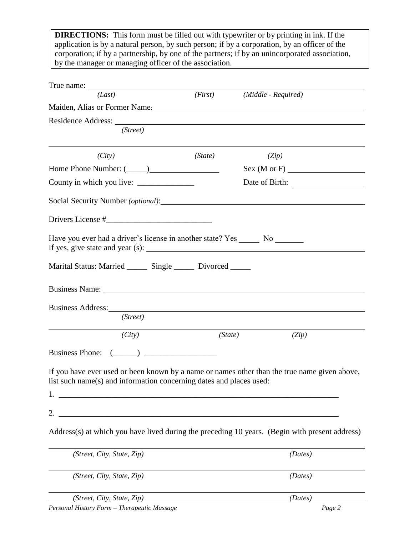**DIRECTIONS:** This form must be filled out with typewriter or by printing in ink. If the application is by a natural person, by such person; if by a corporation, by an officer of the corporation; if by a partnership, by one of the partners; if by an unincorporated association, by the manager or managing officer of the association.

| (Last)                                                                                                                                                                                                                         |         | (First) (Middle - Required) |  |
|--------------------------------------------------------------------------------------------------------------------------------------------------------------------------------------------------------------------------------|---------|-----------------------------|--|
| Maiden, Alias or Former Name. Law and the contract of the contract of the contract of the contract of the contract of the contract of the contract of the contract of the contract of the contract of the contract of the cont |         |                             |  |
|                                                                                                                                                                                                                                |         |                             |  |
| (Street)                                                                                                                                                                                                                       |         |                             |  |
| (City)                                                                                                                                                                                                                         | (State) | (Zip)                       |  |
|                                                                                                                                                                                                                                |         | Sex(M or F)                 |  |
|                                                                                                                                                                                                                                |         |                             |  |
|                                                                                                                                                                                                                                |         |                             |  |
|                                                                                                                                                                                                                                |         |                             |  |
| Have you ever had a driver's license in another state? Yes ________ No ________                                                                                                                                                |         |                             |  |
| Marital Status: Married _______ Single ______ Divorced ______                                                                                                                                                                  |         |                             |  |
|                                                                                                                                                                                                                                |         |                             |  |
| Business Address: New York Contact the Contract of the Contract of the Contract of the Contract of the Contract of the Contract of the Contract of the Contract of the Contract of the Contract of the Contract of the Contrac |         |                             |  |
| (Street)                                                                                                                                                                                                                       |         |                             |  |
| (City)                                                                                                                                                                                                                         |         | (State)<br>(Zip)            |  |
| Business Phone: $(\_\_)$                                                                                                                                                                                                       |         |                             |  |
| If you have ever used or been known by a name or names other than the true name given above,<br>list such name(s) and information concerning dates and places used:<br>1                                                       |         |                             |  |
| 2.                                                                                                                                                                                                                             |         |                             |  |
| Address(s) at which you have lived during the preceding 10 years. (Begin with present address)                                                                                                                                 |         |                             |  |
| (Street, City, State, Zip)                                                                                                                                                                                                     |         | (Dates)                     |  |
| (Street, City, State, Zip)                                                                                                                                                                                                     |         | (Dates)                     |  |
| (Street, City, State, Zip)                                                                                                                                                                                                     |         | (Dates)                     |  |

*Personal History Form – Therapeutic Massage Page 2*